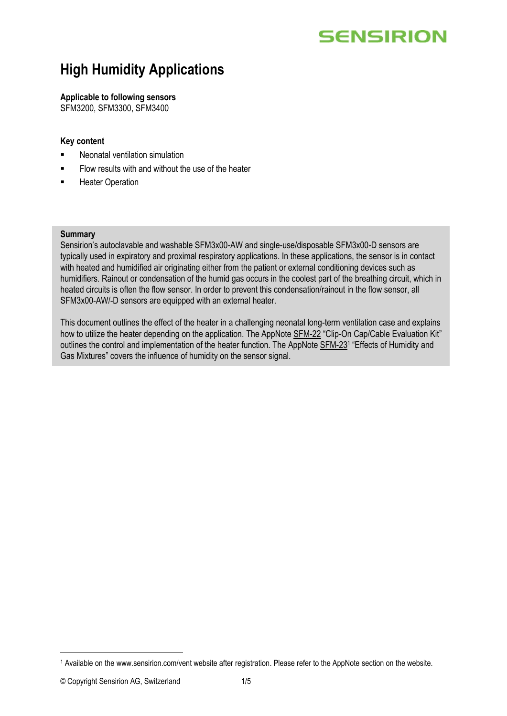# **SENSIRION**

## **High Humidity Applications**

#### **Applicable to following sensors**

SFM3200, SFM3300, SFM3400

#### **Key content**

- Neonatal ventilation simulation
- Flow results with and without the use of the heater
- **■** Heater Operation

#### **Summary**

Sensirion's autoclavable and washable SFM3x00-AW and single-use/disposable SFM3x00-D sensors are typically used in expiratory and proximal respiratory applications. In these applications, the sensor is in contact with heated and humidified air originating either from the patient or external conditioning devices such as humidifiers. Rainout or condensation of the humid gas occurs in the coolest part of the breathing circuit, which in heated circuits is often the flow sensor. In order to prevent this condensation/rainout in the flow sensor, all SFM3x00-AW/-D sensors are equipped with an external heater.

This document outlines the effect of the heater in a challenging neonatal long-term ventilation case and explains how to utilize the heater depending on the application. The AppNot[e SFM-22](http://www.sensirion.com/file/sfm_clipon_capcable_ek) "Clip-On Cap/Cable Evaluation Kit" outlines the control and implementation of the heater function. The AppNote [SFM-23](http://www.sensirion.com/vents)<sup>1</sup> "Effects of Humidity and Gas Mixtures" covers the influence of humidity on the sensor signal.

<sup>1</sup> Available on the www.sensirion.com/vent website after registration. Please refer to the AppNote section on the website.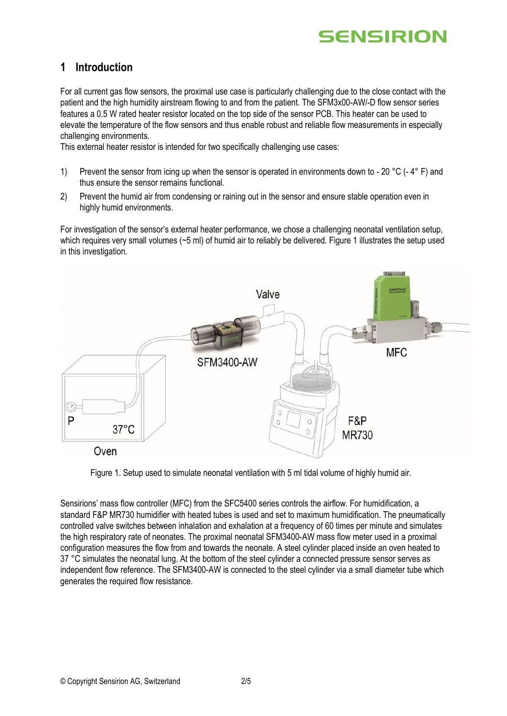

### **1 Introduction**

For all current gas flow sensors, the proximal use case is particularly challenging due to the close contact with the patient and the high humidity airstream flowing to and from the patient. The SFM3x00-AW/-D flow sensor series features a 0.5 W rated heater resistor located on the top side of the sensor PCB. This heater can be used to elevate the temperature of the flow sensors and thus enable robust and reliable flow measurements in especially challenging environments.

This external heater resistor is intended for two specifically challenging use cases:

- 1) Prevent the sensor from icing up when the sensor is operated in environments down to 20 °C (-4° F) and thus ensure the sensor remains functional.
- 2) Prevent the humid air from condensing or raining out in the sensor and ensure stable operation even in highly humid environments.

For investigation of the sensor's external heater performance, we chose a challenging neonatal ventilation setup, which requires very small volumes (~5 ml) of humid air to reliably be delivered. Figure 1 illustrates the setup used in this investigation.



Figure 1. Setup used to simulate neonatal ventilation with 5 ml tidal volume of highly humid air.

Sensirions' mass flow controller (MFC) from the SFC5400 series controls the airflow. For humidification, a standard F&P MR730 humidifier with heated tubes is used and set to maximum humidification. The pneumatically controlled valve switches between inhalation and exhalation at a frequency of 60 times per minute and simulates the high respiratory rate of neonates. The proximal neonatal SFM3400-AW mass flow meter used in a proximal configuration measures the flow from and towards the neonate. A steel cylinder placed inside an oven heated to 37 °C simulates the neonatal lung. At the bottom of the steel cylinder a connected pressure sensor serves as independent flow reference. The SFM3400-AW is connected to the steel cylinder via a small diameter tube which generates the required flow resistance.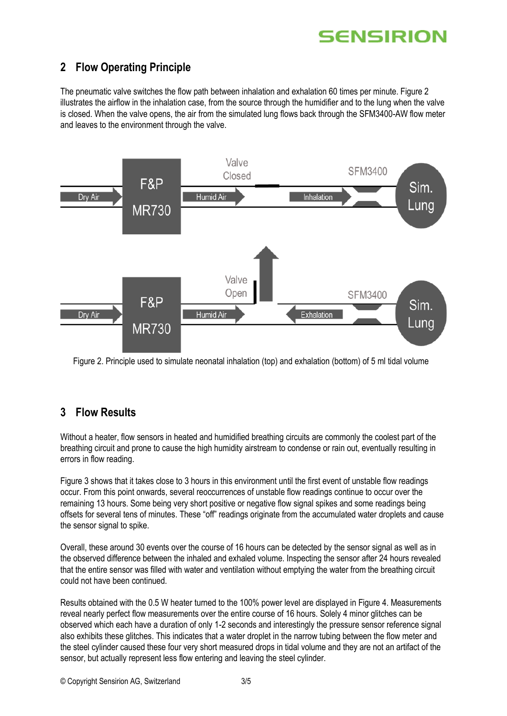

## **2 Flow Operating Principle**

The pneumatic valve switches the flow path between inhalation and exhalation 60 times per minute. Figure 2 illustrates the airflow in the inhalation case, from the source through the humidifier and to the lung when the valve is closed. When the valve opens, the air from the simulated lung flows back through the SFM3400-AW flow meter and leaves to the environment through the valve.



Figure 2. Principle used to simulate neonatal inhalation (top) and exhalation (bottom) of 5 ml tidal volume

## **3 Flow Results**

Without a heater, flow sensors in heated and humidified breathing circuits are commonly the coolest part of the breathing circuit and prone to cause the high humidity airstream to condense or rain out, eventually resulting in errors in flow reading.

Figure 3 shows that it takes close to 3 hours in this environment until the first event of unstable flow readings occur. From this point onwards, several reoccurrences of unstable flow readings continue to occur over the remaining 13 hours. Some being very short positive or negative flow signal spikes and some readings being offsets for several tens of minutes. These "off" readings originate from the accumulated water droplets and cause the sensor signal to spike.

Overall, these around 30 events over the course of 16 hours can be detected by the sensor signal as well as in the observed difference between the inhaled and exhaled volume. Inspecting the sensor after 24 hours revealed that the entire sensor was filled with water and ventilation without emptying the water from the breathing circuit could not have been continued.

Results obtained with the 0.5 W heater turned to the 100% power level are displayed in Figure 4. Measurements reveal nearly perfect flow measurements over the entire course of 16 hours. Solely 4 minor glitches can be observed which each have a duration of only 1-2 seconds and interestingly the pressure sensor reference signal also exhibits these glitches. This indicates that a water droplet in the narrow tubing between the flow meter and the steel cylinder caused these four very short measured drops in tidal volume and they are not an artifact of the sensor, but actually represent less flow entering and leaving the steel cylinder.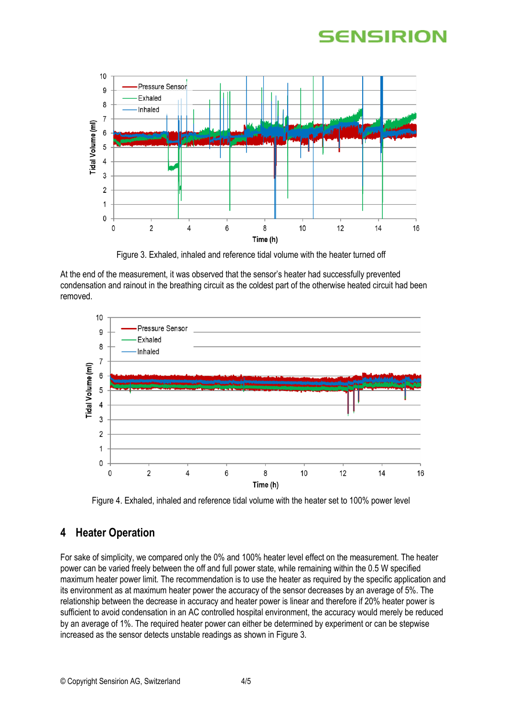# **SENSIRION**



Figure 3. Exhaled, inhaled and reference tidal volume with the heater turned off

At the end of the measurement, it was observed that the sensor's heater had successfully prevented condensation and rainout in the breathing circuit as the coldest part of the otherwise heated circuit had been removed.



Figure 4. Exhaled, inhaled and reference tidal volume with the heater set to 100% power level

## **4 Heater Operation**

For sake of simplicity, we compared only the 0% and 100% heater level effect on the measurement. The heater power can be varied freely between the off and full power state, while remaining within the 0.5 W specified maximum heater power limit. The recommendation is to use the heater as required by the specific application and its environment as at maximum heater power the accuracy of the sensor decreases by an average of 5%. The relationship between the decrease in accuracy and heater power is linear and therefore if 20% heater power is sufficient to avoid condensation in an AC controlled hospital environment, the accuracy would merely be reduced by an average of 1%. The required heater power can either be determined by experiment or can be stepwise increased as the sensor detects unstable readings as shown in Figure 3.